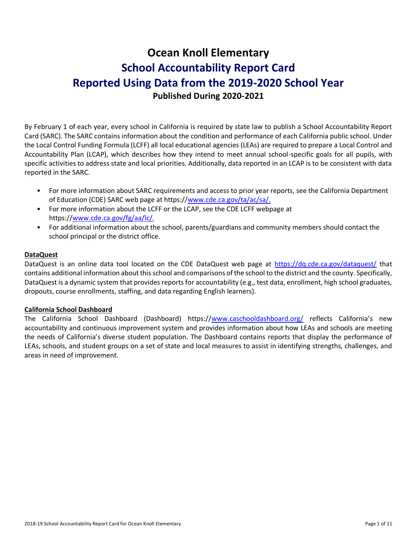# **Ocean Knoll Elementary School Accountability Report Card Reported Using Data from the 2019-2020 School Year Published During 2020-2021**

By February 1 of each year, every school in California is required by state law to publish a School Accountability Report Card (SARC). The SARC contains information about the condition and performance of each California public school. Under the Local Control Funding Formula (LCFF) all local educational agencies (LEAs) are required to prepare a Local Control and Accountability Plan (LCAP), which describes how they intend to meet annual school-specific goals for all pupils, with specific activities to address state and local priorities. Additionally, data reported in an LCAP is to be consistent with data reported in the SARC.

- For more information about SARC requirements and access to prior year reports, see the California Department of Education (CDE) SARC web page at https:/[/www.cde.ca.gov/ta/ac/sa/.](https://www.cde.ca.gov/ta/ac/sa/)
- For more information about the LCFF or the LCAP, see the CDE LCFF webpage at https:/[/www.cde.ca.gov/fg/aa/lc/.](https://www.cde.ca.gov/fg/aa/lc/)
- For additional information about the school, parents/guardians and community members should contact the school principal or the district office.

### **DataQuest**

DataQuest is an online data tool located on the CDE DataQuest web page at<https://dq.cde.ca.gov/dataquest/> that contains additional information about this school and comparisons of the school to the district and the county. Specifically, DataQuest is a dynamic system that provides reports for accountability (e.g., test data, enrollment, high school graduates, dropouts, course enrollments, staffing, and data regarding English learners).

### **California School Dashboard**

The California School Dashboard (Dashboard) https:/[/www.caschooldashboard.org/](https://www.caschooldashboard.org/) reflects California's new accountability and continuous improvement system and provides information about how LEAs and schools are meeting the needs of California's diverse student population. The Dashboard contains reports that display the performance of LEAs, schools, and student groups on a set of state and local measures to assist in identifying strengths, challenges, and areas in need of improvement.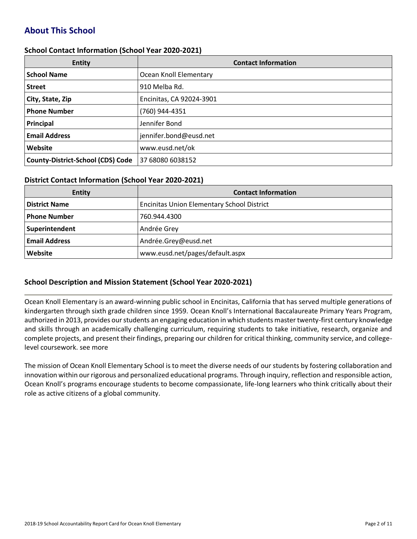# **About This School**

### **School Contact Information (School Year 2020-2021)**

| <b>Entity</b>                            | <b>Contact Information</b> |
|------------------------------------------|----------------------------|
| <b>School Name</b>                       | Ocean Knoll Elementary     |
| <b>Street</b>                            | 910 Melba Rd.              |
| City, State, Zip                         | Encinitas, CA 92024-3901   |
| <b>Phone Number</b>                      | (760) 944-4351             |
| Principal                                | Jennifer Bond              |
| <b>Email Address</b>                     | jennifer.bond@eusd.net     |
| Website                                  | www.eusd.net/ok            |
| <b>County-District-School (CDS) Code</b> | 37 68080 6038152           |

### **District Contact Information (School Year 2020-2021)**

| <b>Entity</b>        | <b>Contact Information</b>                        |
|----------------------|---------------------------------------------------|
| <b>District Name</b> | <b>Encinitas Union Elementary School District</b> |
| Phone Number         | 760.944.4300                                      |
| Superintendent       | Andrée Grey                                       |
| <b>Email Address</b> | Andrée.Grey@eusd.net                              |
| Website              | www.eusd.net/pages/default.aspx                   |

### **School Description and Mission Statement (School Year 2020-2021)**

Ocean Knoll Elementary is an award-winning public school in Encinitas, California that has served multiple generations of kindergarten through sixth grade children since 1959. Ocean Knoll's International Baccalaureate Primary Years Program, authorized in 2013, provides our students an engaging education in which students master twenty-first century knowledge and skills through an academically challenging curriculum, requiring students to take initiative, research, organize and complete projects, and present their findings, preparing our children for critical thinking, community service, and collegelevel coursework. see more

The mission of Ocean Knoll Elementary School is to meet the diverse needs of our students by fostering collaboration and innovation within our rigorous and personalized educational programs. Through inquiry, reflection and responsible action, Ocean Knoll's programs encourage students to become compassionate, life-long learners who think critically about their role as active citizens of a global community.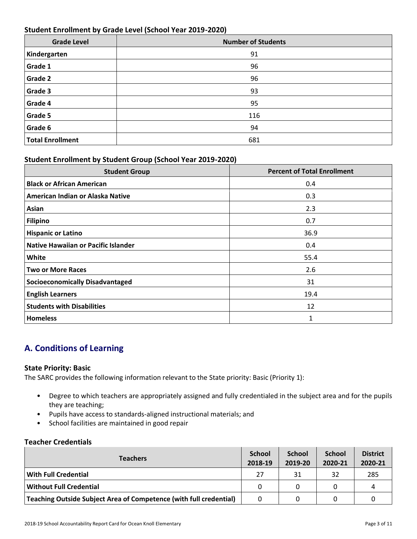### **Student Enrollment by Grade Level (School Year 2019-2020)**

| <b>Grade Level</b>      | <b>Number of Students</b> |
|-------------------------|---------------------------|
| Kindergarten            | 91                        |
| Grade 1                 | 96                        |
| Grade 2                 | 96                        |
| Grade 3                 | 93                        |
| Grade 4                 | 95                        |
| Grade 5                 | 116                       |
| Grade 6                 | 94                        |
| <b>Total Enrollment</b> | 681                       |

### **Student Enrollment by Student Group (School Year 2019-2020)**

| <b>Student Group</b>                       | <b>Percent of Total Enrollment</b> |
|--------------------------------------------|------------------------------------|
| <b>Black or African American</b>           | 0.4                                |
| American Indian or Alaska Native           | 0.3                                |
| Asian                                      | 2.3                                |
| <b>Filipino</b>                            | 0.7                                |
| <b>Hispanic or Latino</b>                  | 36.9                               |
| <b>Native Hawaiian or Pacific Islander</b> | 0.4                                |
| White                                      | 55.4                               |
| <b>Two or More Races</b>                   | 2.6                                |
| <b>Socioeconomically Disadvantaged</b>     | 31                                 |
| <b>English Learners</b>                    | 19.4                               |
| <b>Students with Disabilities</b>          | 12                                 |
| <b>Homeless</b>                            | 1                                  |

# **A. Conditions of Learning**

### **State Priority: Basic**

The SARC provides the following information relevant to the State priority: Basic (Priority 1):

- Degree to which teachers are appropriately assigned and fully credentialed in the subject area and for the pupils they are teaching;
- Pupils have access to standards-aligned instructional materials; and
- School facilities are maintained in good repair

### **Teacher Credentials**

| <b>Teachers</b>                                                    |          | <b>School</b><br>2019-20 | <b>School</b><br>2020-21 | <b>District</b><br>2020-21 |
|--------------------------------------------------------------------|----------|--------------------------|--------------------------|----------------------------|
| With Full Credential                                               | 27       | 31                       | 32                       | 285                        |
| Without Full Credential                                            | $\Omega$ |                          |                          | Д                          |
| Teaching Outside Subject Area of Competence (with full credential) |          |                          |                          |                            |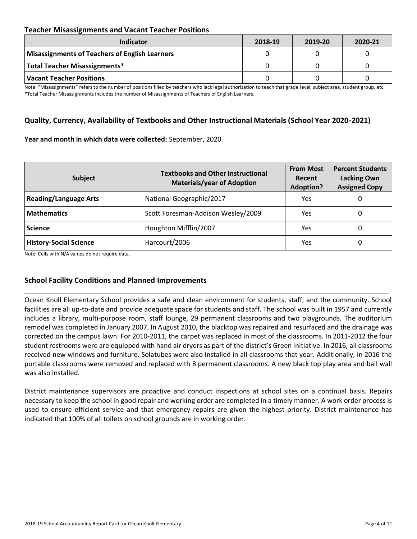### **Teacher Misassignments and Vacant Teacher Positions**

| <b>Indicator</b>                               | 2018-19 | 2019-20 | 2020-21 |
|------------------------------------------------|---------|---------|---------|
| Misassignments of Teachers of English Learners |         |         |         |
| Total Teacher Misassignments*                  |         |         |         |
| Vacant Teacher Positions                       |         |         |         |

Note: "Misassignments" refers to the number of positions filled by teachers who lack legal authorization to teach that grade level, subject area, student group, etc. \*Total Teacher Misassignments includes the number of Misassignments of Teachers of English Learners.

### **Quality, Currency, Availability of Textbooks and Other Instructional Materials (School Year 2020-2021)**

#### **Year and month in which data were collected:** September, 2020

| Subject                       | <b>Textbooks and Other Instructional</b><br><b>Materials/year of Adoption</b> | <b>From Most</b><br>Recent<br><b>Adoption?</b> | <b>Percent Students</b><br><b>Lacking Own</b><br><b>Assigned Copy</b> |
|-------------------------------|-------------------------------------------------------------------------------|------------------------------------------------|-----------------------------------------------------------------------|
| <b>Reading/Language Arts</b>  | National Geographic/2017                                                      | Yes                                            | O                                                                     |
| <b>Mathematics</b>            | Scott Foresman-Addison Wesley/2009                                            | Yes                                            | 0                                                                     |
| <b>Science</b>                | Houghton Mifflin/2007                                                         | Yes                                            | 0                                                                     |
| <b>History-Social Science</b> | Harcourt/2006                                                                 | Yes                                            | 0                                                                     |

Note: Cells with N/A values do not require data.

### **School Facility Conditions and Planned Improvements**

Ocean Knoll Elementary School provides a safe and clean environment for students, staff, and the community. School facilities are all up-to-date and provide adequate space for students and staff. The school was built in 1957 and currently includes a library, multi-purpose room, staff lounge, 29 permanent classrooms and two playgrounds. The auditorium remodel was completed in January 2007. In August 2010, the blacktop was repaired and resurfaced and the drainage was corrected on the campus lawn. For 2010-2011, the carpet was replaced in most of the classrooms. In 2011-2012 the four student restrooms were are equipped with hand air dryers as part of the district's Green Initiative. In 2016, all classrooms received new windows and furniture. Solatubes were also installed in all classrooms that year. Additionally, in 2016 the portable classrooms were removed and replaced with 8 permanent classrooms. A new black top play area and ball wall was also installed.

District maintenance supervisors are proactive and conduct inspections at school sites on a continual basis. Repairs necessary to keep the school in good repair and working order are completed in a timely manner. A work order process is used to ensure efficient service and that emergency repairs are given the highest priority. District maintenance has indicated that 100% of all toilets on school grounds are in working order.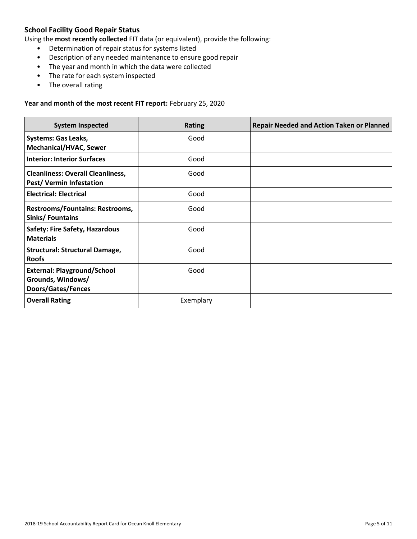### **School Facility Good Repair Status**

Using the **most recently collected** FIT data (or equivalent), provide the following:

- Determination of repair status for systems listed
- Description of any needed maintenance to ensure good repair
- The year and month in which the data were collected
- The rate for each system inspected
- The overall rating

#### **Year and month of the most recent FIT report:** February 25, 2020

| <b>System Inspected</b>                                                       | <b>Rating</b> | <b>Repair Needed and Action Taken or Planned</b> |
|-------------------------------------------------------------------------------|---------------|--------------------------------------------------|
| <b>Systems: Gas Leaks,</b><br><b>Mechanical/HVAC, Sewer</b>                   | Good          |                                                  |
| <b>Interior: Interior Surfaces</b>                                            | Good          |                                                  |
| <b>Cleanliness: Overall Cleanliness,</b><br><b>Pest/ Vermin Infestation</b>   | Good          |                                                  |
| <b>Electrical: Electrical</b>                                                 | Good          |                                                  |
| Restrooms/Fountains: Restrooms,<br>Sinks/Fountains                            | Good          |                                                  |
| <b>Safety: Fire Safety, Hazardous</b><br><b>Materials</b>                     | Good          |                                                  |
| <b>Structural: Structural Damage,</b><br><b>Roofs</b>                         | Good          |                                                  |
| <b>External: Playground/School</b><br>Grounds, Windows/<br>Doors/Gates/Fences | Good          |                                                  |
| <b>Overall Rating</b>                                                         | Exemplary     |                                                  |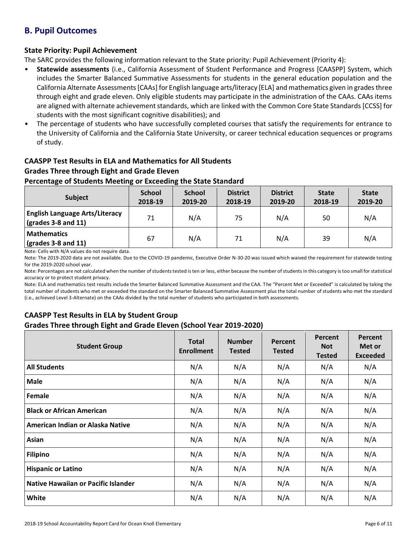# **B. Pupil Outcomes**

### **State Priority: Pupil Achievement**

The SARC provides the following information relevant to the State priority: Pupil Achievement (Priority 4):

- **Statewide assessments** (i.e., California Assessment of Student Performance and Progress [CAASPP] System, which includes the Smarter Balanced Summative Assessments for students in the general education population and the California Alternate Assessments [CAAs] for English language arts/literacy [ELA] and mathematics given in grades three through eight and grade eleven. Only eligible students may participate in the administration of the CAAs. CAAs items are aligned with alternate achievement standards, which are linked with the Common Core State Standards [CCSS] for students with the most significant cognitive disabilities); and
- The percentage of students who have successfully completed courses that satisfy the requirements for entrance to the University of California and the California State University, or career technical education sequences or programs of study.

## **CAASPP Test Results in ELA and Mathematics for All Students Grades Three through Eight and Grade Eleven**

### **Percentage of Students Meeting or Exceeding the State Standard**

| <b>Subject</b>                                                       | <b>School</b><br>2018-19 | <b>School</b><br>2019-20 | <b>District</b><br>2018-19 | <b>District</b><br>2019-20 | <b>State</b><br>2018-19 | <b>State</b><br>2019-20 |
|----------------------------------------------------------------------|--------------------------|--------------------------|----------------------------|----------------------------|-------------------------|-------------------------|
| <b>English Language Arts/Literacy</b><br>$\vert$ (grades 3-8 and 11) | 71                       | N/A                      | 75                         | N/A                        | 50                      | N/A                     |
| <b>Mathematics</b><br>$\sqrt{\frac{1}{2}}$ (grades 3-8 and 11)       | 67                       | N/A                      | 71                         | N/A                        | 39                      | N/A                     |

Note: Cells with N/A values do not require data.

Note: The 2019-2020 data are not available. Due to the COVID-19 pandemic, Executive Order N-30-20 was issued which waived the requirement for statewide testing for the 2019-2020 school year.

Note: Percentages are not calculated when the number of students tested is ten or less, either because the number of students in this category is too small for statistical accuracy or to protect student privacy.

Note: ELA and mathematics test results include the Smarter Balanced Summative Assessment and the CAA. The "Percent Met or Exceeded" is calculated by taking the total number of students who met or exceeded the standard on the Smarter Balanced Summative Assessment plus the total number of students who met the standard (i.e., achieved Level 3-Alternate) on the CAAs divided by the total number of students who participated in both assessments.

### **CAASPP Test Results in ELA by Student Group**

### **Grades Three through Eight and Grade Eleven (School Year 2019-2020)**

| <b>Student Group</b>                | <b>Total</b><br><b>Enrollment</b> | <b>Number</b><br><b>Tested</b> | Percent<br><b>Tested</b> | Percent<br><b>Not</b><br><b>Tested</b> | Percent<br>Met or<br><b>Exceeded</b> |
|-------------------------------------|-----------------------------------|--------------------------------|--------------------------|----------------------------------------|--------------------------------------|
| <b>All Students</b>                 | N/A                               | N/A                            | N/A                      | N/A                                    | N/A                                  |
| <b>Male</b>                         | N/A                               | N/A                            | N/A                      | N/A                                    | N/A                                  |
| Female                              | N/A                               | N/A                            | N/A                      | N/A                                    | N/A                                  |
| <b>Black or African American</b>    | N/A                               | N/A                            | N/A                      | N/A                                    | N/A                                  |
| American Indian or Alaska Native    | N/A                               | N/A                            | N/A                      | N/A                                    | N/A                                  |
| Asian                               | N/A                               | N/A                            | N/A                      | N/A                                    | N/A                                  |
| <b>Filipino</b>                     | N/A                               | N/A                            | N/A                      | N/A                                    | N/A                                  |
| <b>Hispanic or Latino</b>           | N/A                               | N/A                            | N/A                      | N/A                                    | N/A                                  |
| Native Hawaiian or Pacific Islander | N/A                               | N/A                            | N/A                      | N/A                                    | N/A                                  |
| White                               | N/A                               | N/A                            | N/A                      | N/A                                    | N/A                                  |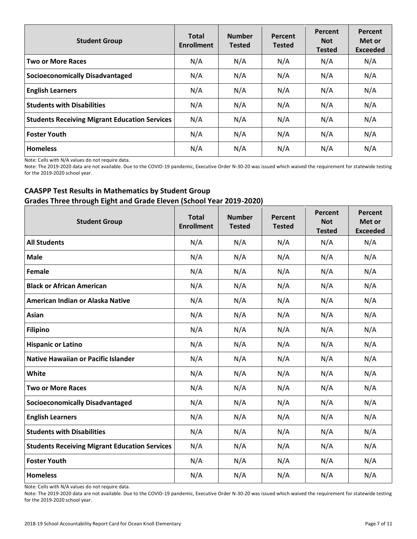| <b>Student Group</b>                                 | <b>Total</b><br><b>Enrollment</b> | <b>Number</b><br><b>Tested</b> | Percent<br><b>Tested</b> | Percent<br><b>Not</b><br><b>Tested</b> | Percent<br>Met or<br><b>Exceeded</b> |
|------------------------------------------------------|-----------------------------------|--------------------------------|--------------------------|----------------------------------------|--------------------------------------|
| <b>Two or More Races</b>                             | N/A                               | N/A                            | N/A                      | N/A                                    | N/A                                  |
| <b>Socioeconomically Disadvantaged</b>               | N/A                               | N/A                            | N/A                      | N/A                                    | N/A                                  |
| <b>English Learners</b>                              | N/A                               | N/A                            | N/A                      | N/A                                    | N/A                                  |
| <b>Students with Disabilities</b>                    | N/A                               | N/A                            | N/A                      | N/A                                    | N/A                                  |
| <b>Students Receiving Migrant Education Services</b> | N/A                               | N/A                            | N/A                      | N/A                                    | N/A                                  |
| <b>Foster Youth</b>                                  | N/A                               | N/A                            | N/A                      | N/A                                    | N/A                                  |
| <b>Homeless</b>                                      | N/A                               | N/A                            | N/A                      | N/A                                    | N/A                                  |

Note: Cells with N/A values do not require data.

Note: The 2019-2020 data are not available. Due to the COVID-19 pandemic, Executive Order N-30-20 was issued which waived the requirement for statewide testing for the 2019-2020 school year.

### **CAASPP Test Results in Mathematics by Student Group Grades Three through Eight and Grade Eleven (School Year 2019-2020)**

| <b>Student Group</b>                                 | <b>Total</b><br><b>Enrollment</b> | <b>Number</b><br><b>Tested</b> | Percent<br><b>Tested</b> | Percent<br><b>Not</b><br><b>Tested</b> | Percent<br>Met or<br><b>Exceeded</b> |
|------------------------------------------------------|-----------------------------------|--------------------------------|--------------------------|----------------------------------------|--------------------------------------|
| <b>All Students</b>                                  | N/A                               | N/A                            | N/A                      | N/A                                    | N/A                                  |
| <b>Male</b>                                          | N/A                               | N/A                            | N/A                      | N/A                                    | N/A                                  |
| <b>Female</b>                                        | N/A                               | N/A                            | N/A                      | N/A                                    | N/A                                  |
| <b>Black or African American</b>                     | N/A                               | N/A                            | N/A                      | N/A                                    | N/A                                  |
| American Indian or Alaska Native                     | N/A                               | N/A                            | N/A                      | N/A                                    | N/A                                  |
| <b>Asian</b>                                         | N/A                               | N/A                            | N/A                      | N/A                                    | N/A                                  |
| <b>Filipino</b>                                      | N/A                               | N/A                            | N/A                      | N/A                                    | N/A                                  |
| <b>Hispanic or Latino</b>                            | N/A                               | N/A                            | N/A                      | N/A                                    | N/A                                  |
| <b>Native Hawaiian or Pacific Islander</b>           | N/A                               | N/A                            | N/A                      | N/A                                    | N/A                                  |
| White                                                | N/A                               | N/A                            | N/A                      | N/A                                    | N/A                                  |
| <b>Two or More Races</b>                             | N/A                               | N/A                            | N/A                      | N/A                                    | N/A                                  |
| <b>Socioeconomically Disadvantaged</b>               | N/A                               | N/A                            | N/A                      | N/A                                    | N/A                                  |
| <b>English Learners</b>                              | N/A                               | N/A                            | N/A                      | N/A                                    | N/A                                  |
| <b>Students with Disabilities</b>                    | N/A                               | N/A                            | N/A                      | N/A                                    | N/A                                  |
| <b>Students Receiving Migrant Education Services</b> | N/A                               | N/A                            | N/A                      | N/A                                    | N/A                                  |
| <b>Foster Youth</b>                                  | N/A                               | N/A                            | N/A                      | N/A                                    | N/A                                  |
| <b>Homeless</b>                                      | N/A                               | N/A                            | N/A                      | N/A                                    | N/A                                  |

Note: Cells with N/A values do not require data.

Note: The 2019-2020 data are not available. Due to the COVID-19 pandemic, Executive Order N-30-20 was issued which waived the requirement for statewide testing for the 2019-2020 school year.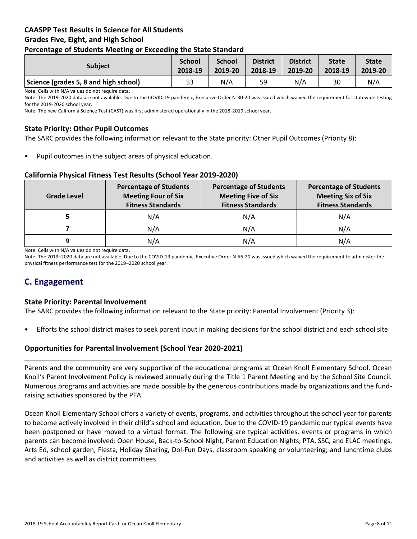### **CAASPP Test Results in Science for All Students Grades Five, Eight, and High School Percentage of Students Meeting or Exceeding the State Standard**

| <b>Subject</b>                        | <b>School</b><br>2018-19 | <b>School</b><br>2019-20 | <b>District</b><br>2018-19 | <b>District</b><br>2019-20 | <b>State</b><br>2018-19 | <b>State</b><br>2019-20 |
|---------------------------------------|--------------------------|--------------------------|----------------------------|----------------------------|-------------------------|-------------------------|
| Science (grades 5, 8 and high school) | 53                       | N/A                      | 59                         | N/A                        | 30                      | N/A                     |

Note: Cells with N/A values do not require data.

Note: The 2019-2020 data are not available. Due to the COVID-19 pandemic, Executive Order N-30-20 was issued which waived the requirement for statewide testing for the 2019-2020 school year.

Note: The new California Science Test (CAST) was first administered operationally in the 2018-2019 school year.

### **State Priority: Other Pupil Outcomes**

The SARC provides the following information relevant to the State priority: Other Pupil Outcomes (Priority 8):

Pupil outcomes in the subject areas of physical education.

### **California Physical Fitness Test Results (School Year 2019-2020)**

| <b>Grade Level</b> | <b>Percentage of Students</b><br><b>Meeting Four of Six</b><br><b>Fitness Standards</b> | <b>Percentage of Students</b><br><b>Meeting Five of Six</b><br><b>Fitness Standards</b> | <b>Percentage of Students</b><br><b>Meeting Six of Six</b><br><b>Fitness Standards</b> |  |
|--------------------|-----------------------------------------------------------------------------------------|-----------------------------------------------------------------------------------------|----------------------------------------------------------------------------------------|--|
|                    | N/A                                                                                     | N/A                                                                                     | N/A                                                                                    |  |
|                    | N/A                                                                                     | N/A                                                                                     | N/A                                                                                    |  |
| 9                  | N/A                                                                                     | N/A                                                                                     | N/A                                                                                    |  |

Note: Cells with N/A values do not require data.

Note: The 2019–2020 data are not available. Due to the COVID-19 pandemic, Executive Order N-56-20 was issued which waived the requirement to administer the physical fitness performance test for the 2019–2020 school year.

# **C. Engagement**

### **State Priority: Parental Involvement**

The SARC provides the following information relevant to the State priority: Parental Involvement (Priority 3):

• Efforts the school district makes to seek parent input in making decisions for the school district and each school site

### **Opportunities for Parental Involvement (School Year 2020-2021)**

Parents and the community are very supportive of the educational programs at Ocean Knoll Elementary School. Ocean Knoll's Parent Involvement Policy is reviewed annually during the Title 1 Parent Meeting and by the School Site Council. Numerous programs and activities are made possible by the generous contributions made by organizations and the fundraising activities sponsored by the PTA.

Ocean Knoll Elementary School offers a variety of events, programs, and activities throughout the school year for parents to become actively involved in their child's school and education. Due to the COVID-19 pandemic our typical events have been postponed or have moved to a virtual format. The following are typical activities, events or programs in which parents can become involved: Open House, Back-to-School Night, Parent Education Nights; PTA, SSC, and ELAC meetings, Arts Ed, school garden, Fiesta, Holiday Sharing, Dol-Fun Days, classroom speaking or volunteering; and lunchtime clubs and activities as well as district committees.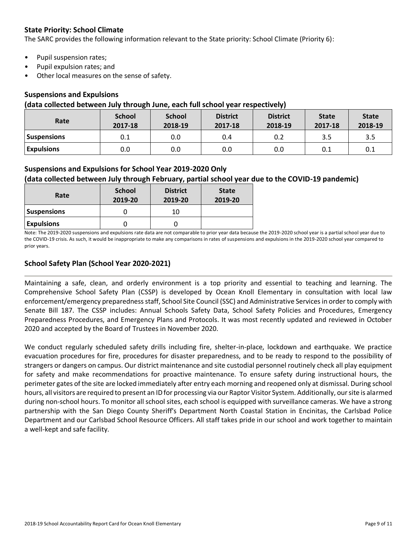### **State Priority: School Climate**

The SARC provides the following information relevant to the State priority: School Climate (Priority 6):

- Pupil suspension rates;
- Pupil expulsion rates; and
- Other local measures on the sense of safety.

### **Suspensions and Expulsions**

### **(data collected between July through June, each full school year respectively)**

| Rate               | <b>School</b><br>2017-18 | <b>School</b><br>2018-19 | <b>District</b><br>2017-18 | <b>District</b><br>2018-19 | <b>State</b><br>2017-18 | <b>State</b><br>2018-19 |
|--------------------|--------------------------|--------------------------|----------------------------|----------------------------|-------------------------|-------------------------|
| <b>Suspensions</b> | 0.1                      | 0.0                      | 0.4                        | 0.2                        | 3.5                     | 3.5                     |
| <b>Expulsions</b>  | 0.0                      | 0.0                      | 0.0                        | 0.0                        | 0.1                     | 0.1                     |

### **Suspensions and Expulsions for School Year 2019-2020 Only**

### **(data collected between July through February, partial school year due to the COVID-19 pandemic)**

| Rate               | <b>School</b><br>2019-20 | <b>District</b><br>2019-20 | <b>State</b><br>2019-20 |
|--------------------|--------------------------|----------------------------|-------------------------|
| <b>Suspensions</b> |                          | 10                         |                         |
| <b>Expulsions</b>  |                          |                            |                         |

Note: The 2019-2020 suspensions and expulsions rate data are not comparable to prior year data because the 2019-2020 school year is a partial school year due to the COVID-19 crisis. As such, it would be inappropriate to make any comparisons in rates of suspensions and expulsions in the 2019-2020 school year compared to prior years.

### **School Safety Plan (School Year 2020-2021)**

Maintaining a safe, clean, and orderly environment is a top priority and essential to teaching and learning. The Comprehensive School Safety Plan (CSSP) is developed by Ocean Knoll Elementary in consultation with local law enforcement/emergency preparedness staff, School Site Council (SSC) and Administrative Services in order to comply with Senate Bill 187. The CSSP includes: Annual Schools Safety Data, School Safety Policies and Procedures, Emergency Preparedness Procedures, and Emergency Plans and Protocols. It was most recently updated and reviewed in October 2020 and accepted by the Board of Trustees in November 2020.

We conduct regularly scheduled safety drills including fire, shelter-in-place, lockdown and earthquake. We practice evacuation procedures for fire, procedures for disaster preparedness, and to be ready to respond to the possibility of strangers or dangers on campus. Our district maintenance and site custodial personnel routinely check all play equipment for safety and make recommendations for proactive maintenance. To ensure safety during instructional hours, the perimeter gates of the site are locked immediately after entry each morning and reopened only at dismissal. During school hours, all visitors are required to present an ID for processing via our Raptor Visitor System. Additionally, our site is alarmed during non-school hours. To monitor all school sites, each school is equipped with surveillance cameras. We have a strong partnership with the San Diego County Sheriff's Department North Coastal Station in Encinitas, the Carlsbad Police Department and our Carlsbad School Resource Officers. All staff takes pride in our school and work together to maintain a well-kept and safe facility.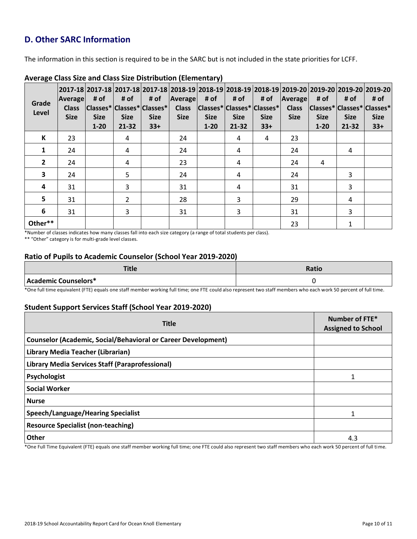# **D. Other SARC Information**

The information in this section is required to be in the SARC but is not included in the state priorities for LCFF.

| Grade<br>Level | <b>Average</b><br><b>Class</b><br><b>Size</b> | # of<br><b>Size</b><br>$1 - 20$ | # of<br><b>Size</b><br>$21 - 32$ | 2017-18  2017-18  2017-18  2017-18  2018-19  2018-19  2018-19  2018-19  2019-20  2019-20  2019-20  2019-20  <br># of<br> Classes* Classes* Classes* <br><b>Size</b><br>$33+$ | Average<br><b>Class</b><br><b>Size</b> | # of<br><b>Size</b><br>$1 - 20$ | # of<br> Classes* Classes* Classes*  Class<br><b>Size</b><br>$21 - 32$ | # of<br><b>Size</b><br>$33+$ | <b>Average</b><br><b>Size</b> | # of<br><b>Size</b><br>$1 - 20$ | # of<br><b>Size</b><br>21-32 | # of<br> Classes* Classes* Classes*<br><b>Size</b><br>$33+$ |
|----------------|-----------------------------------------------|---------------------------------|----------------------------------|------------------------------------------------------------------------------------------------------------------------------------------------------------------------------|----------------------------------------|---------------------------------|------------------------------------------------------------------------|------------------------------|-------------------------------|---------------------------------|------------------------------|-------------------------------------------------------------|
| К              | 23                                            |                                 | 4                                |                                                                                                                                                                              | 24                                     |                                 | 4                                                                      | 4                            | 23                            |                                 |                              |                                                             |
| $\mathbf{1}$   | 24                                            |                                 | 4                                |                                                                                                                                                                              | 24                                     |                                 | 4                                                                      |                              | 24                            |                                 | 4                            |                                                             |
| $\overline{2}$ | 24                                            |                                 | 4                                |                                                                                                                                                                              | 23                                     |                                 | 4                                                                      |                              | 24                            | 4                               |                              |                                                             |
| 3              | 24                                            |                                 | 5                                |                                                                                                                                                                              | 24                                     |                                 | 4                                                                      |                              | 24                            |                                 | 3                            |                                                             |
| 4              | 31                                            |                                 | 3                                |                                                                                                                                                                              | 31                                     |                                 | 4                                                                      |                              | 31                            |                                 | 3                            |                                                             |
| 5              | 31                                            |                                 | $\overline{2}$                   |                                                                                                                                                                              | 28                                     |                                 | 3                                                                      |                              | 29                            |                                 | 4                            |                                                             |
| 6              | 31                                            |                                 | 3                                |                                                                                                                                                                              | 31                                     |                                 | 3                                                                      |                              | 31                            |                                 | 3                            |                                                             |
| Other**        |                                               |                                 |                                  |                                                                                                                                                                              |                                        |                                 |                                                                        |                              | 23                            |                                 |                              |                                                             |

### **Average Class Size and Class Size Distribution (Elementary)**

\*Number of classes indicates how many classes fall into each size category (a range of total students per class).

\*\* "Other" category is for multi-grade level classes.

### **Ratio of Pupils to Academic Counselor (School Year 2019-2020)**

| Title                | Ratio |
|----------------------|-------|
| Academic Counselors* |       |

\*One full time equivalent (FTE) equals one staff member working full time; one FTE could also represent two staff members who each work 50 percent of full time.

### **Student Support Services Staff (School Year 2019-2020)**

| <b>Title</b>                                                         | Number of FTE*<br><b>Assigned to School</b> |
|----------------------------------------------------------------------|---------------------------------------------|
| <b>Counselor (Academic, Social/Behavioral or Career Development)</b> |                                             |
| Library Media Teacher (Librarian)                                    |                                             |
| Library Media Services Staff (Paraprofessional)                      |                                             |
| Psychologist                                                         |                                             |
| <b>Social Worker</b>                                                 |                                             |
| <b>Nurse</b>                                                         |                                             |
| Speech/Language/Hearing Specialist                                   |                                             |
| <b>Resource Specialist (non-teaching)</b>                            |                                             |
| <b>Other</b>                                                         | 4.3                                         |

\*One Full Time Equivalent (FTE) equals one staff member working full time; one FTE could also represent two staff members who each work 50 percent of full time.